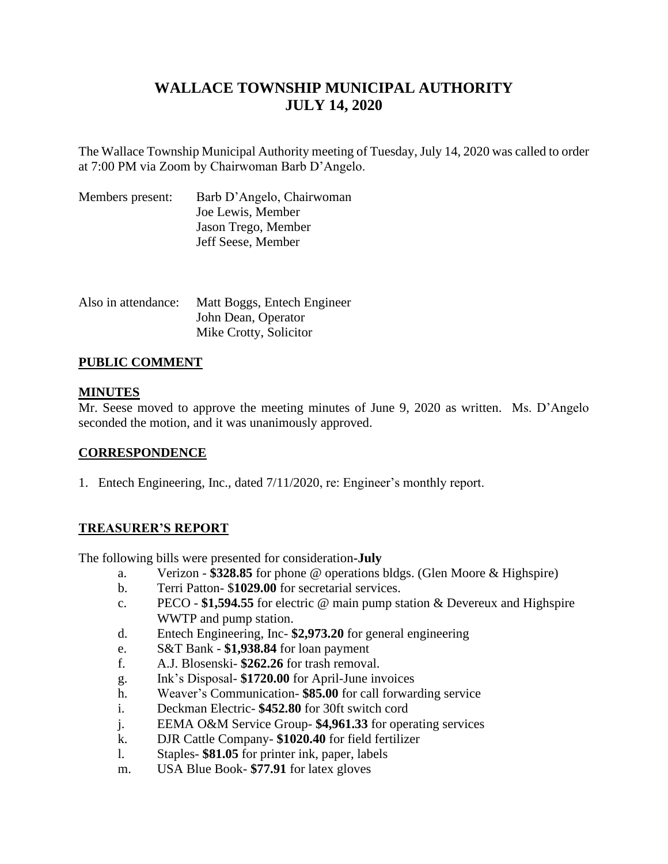# **WALLACE TOWNSHIP MUNICIPAL AUTHORITY JULY 14, 2020**

The Wallace Township Municipal Authority meeting of Tuesday, July 14, 2020 was called to order at 7:00 PM via Zoom by Chairwoman Barb D'Angelo.

| Members present: | Barb D'Angelo, Chairwoman |
|------------------|---------------------------|
|                  | Joe Lewis, Member         |
|                  | Jason Trego, Member       |
|                  | Jeff Seese, Member        |

| Also in attendance: | Matt Boggs, Entech Engineer |
|---------------------|-----------------------------|
|                     | John Dean, Operator         |
|                     | Mike Crotty, Solicitor      |

## **PUBLIC COMMENT**

## **MINUTES**

Mr. Seese moved to approve the meeting minutes of June 9, 2020 as written. Ms. D'Angelo seconded the motion, and it was unanimously approved.

## **CORRESPONDENCE**

1. Entech Engineering, Inc., dated 7/11/2020, re: Engineer's monthly report.

## **TREASURER'S REPORT**

The following bills were presented for consideration**-July**

- a. Verizon **\$328.85** for phone @ operations bldgs. (Glen Moore & Highspire)
- b. Terri Patton- \$**1029.00** for secretarial services.
- c. PECO **\$1,594.55** for electric @ main pump station & Devereux and Highspire WWTP and pump station.
- d. Entech Engineering, Inc- **\$2,973.20** for general engineering
- e. S&T Bank **\$1,938.84** for loan payment
- f. A.J. Blosenski- **\$262.26** for trash removal.
- g. Ink's Disposal- **\$1720.00** for April-June invoices
- h. Weaver's Communication- **\$85.00** for call forwarding service
- i. Deckman Electric- **\$452.80** for 30ft switch cord
- j. EEMA O&M Service Group- **\$4,961.33** for operating services
- k. DJR Cattle Company- **\$1020.40** for field fertilizer
- l. Staples- **\$81.05** for printer ink, paper, labels
- m. USA Blue Book- **\$77.91** for latex gloves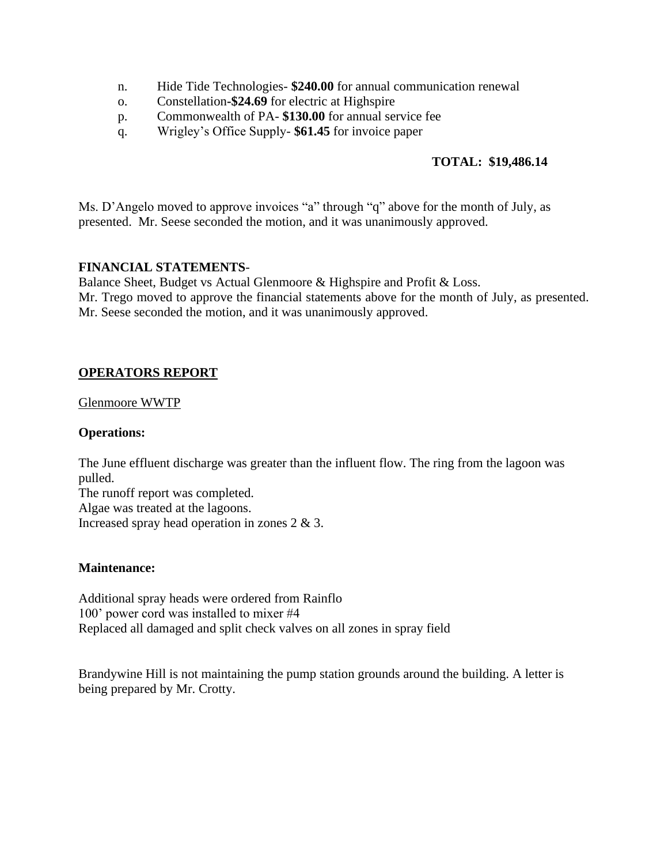- n. Hide Tide Technologies- **\$240.00** for annual communication renewal
- o. Constellation**-\$24.69** for electric at Highspire
- p. Commonwealth of PA- **\$130.00** for annual service fee
- q. Wrigley's Office Supply- **\$61.45** for invoice paper

## **TOTAL: \$19,486.14**

Ms. D'Angelo moved to approve invoices "a" through "q" above for the month of July, as presented. Mr. Seese seconded the motion, and it was unanimously approved.

## **FINANCIAL STATEMENTS**-

Balance Sheet, Budget vs Actual Glenmoore & Highspire and Profit & Loss.

Mr. Trego moved to approve the financial statements above for the month of July, as presented. Mr. Seese seconded the motion, and it was unanimously approved.

## **OPERATORS REPORT**

#### Glenmoore WWTP

## **Operations:**

The June effluent discharge was greater than the influent flow. The ring from the lagoon was pulled.

The runoff report was completed. Algae was treated at the lagoons. Increased spray head operation in zones 2 & 3.

## **Maintenance:**

Additional spray heads were ordered from Rainflo 100' power cord was installed to mixer #4 Replaced all damaged and split check valves on all zones in spray field

Brandywine Hill is not maintaining the pump station grounds around the building. A letter is being prepared by Mr. Crotty.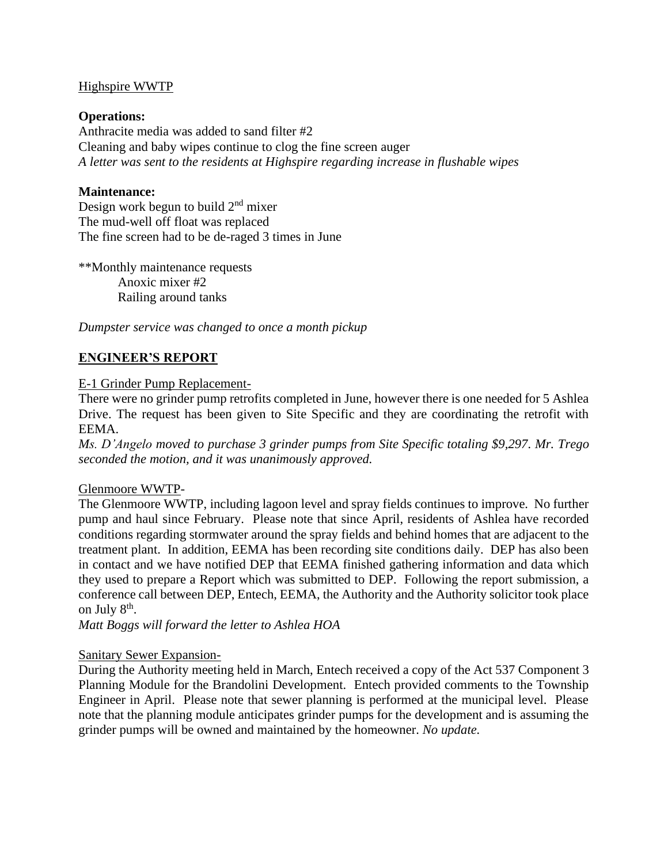## Highspire WWTP

## **Operations:**

Anthracite media was added to sand filter #2 Cleaning and baby wipes continue to clog the fine screen auger *A letter was sent to the residents at Highspire regarding increase in flushable wipes*

## **Maintenance:**

Design work begun to build  $2<sup>nd</sup>$  mixer The mud-well off float was replaced The fine screen had to be de-raged 3 times in June

\*\*Monthly maintenance requests Anoxic mixer #2 Railing around tanks

*Dumpster service was changed to once a month pickup* 

## **ENGINEER'S REPORT**

## E-1 Grinder Pump Replacement-

There were no grinder pump retrofits completed in June, however there is one needed for 5 Ashlea Drive. The request has been given to Site Specific and they are coordinating the retrofit with EEMA.

*Ms. D'Angelo moved to purchase 3 grinder pumps from Site Specific totaling \$9,297. Mr. Trego seconded the motion, and it was unanimously approved.* 

## Glenmoore WWTP-

The Glenmoore WWTP, including lagoon level and spray fields continues to improve. No further pump and haul since February. Please note that since April, residents of Ashlea have recorded conditions regarding stormwater around the spray fields and behind homes that are adjacent to the treatment plant. In addition, EEMA has been recording site conditions daily. DEP has also been in contact and we have notified DEP that EEMA finished gathering information and data which they used to prepare a Report which was submitted to DEP. Following the report submission, a conference call between DEP, Entech, EEMA, the Authority and the Authority solicitor took place on July 8<sup>th</sup>.

*Matt Boggs will forward the letter to Ashlea HOA*

## Sanitary Sewer Expansion-

During the Authority meeting held in March, Entech received a copy of the Act 537 Component 3 Planning Module for the Brandolini Development. Entech provided comments to the Township Engineer in April. Please note that sewer planning is performed at the municipal level. Please note that the planning module anticipates grinder pumps for the development and is assuming the grinder pumps will be owned and maintained by the homeowner. *No update.*